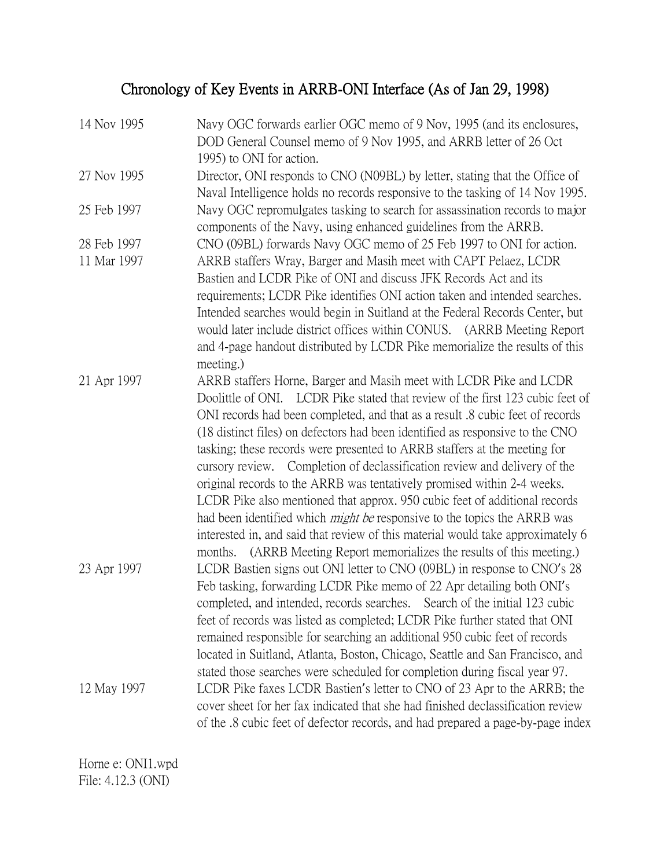## Chronology of Key Events in ARRB-ONI Interface (As of Jan 29, 1998)

| 14 Nov 1995 | Navy OGC forwards earlier OGC memo of 9 Nov, 1995 (and its enclosures,<br>DOD General Counsel memo of 9 Nov 1995, and ARRB letter of 26 Oct<br>1995) to ONI for action.                                                                                                                                                                                                                                                                                                                                                                                                                                                                                                                                                                                                                                                                                                                                 |
|-------------|---------------------------------------------------------------------------------------------------------------------------------------------------------------------------------------------------------------------------------------------------------------------------------------------------------------------------------------------------------------------------------------------------------------------------------------------------------------------------------------------------------------------------------------------------------------------------------------------------------------------------------------------------------------------------------------------------------------------------------------------------------------------------------------------------------------------------------------------------------------------------------------------------------|
| 27 Nov 1995 | Director, ONI responds to CNO (N09BL) by letter, stating that the Office of<br>Naval Intelligence holds no records responsive to the tasking of 14 Nov 1995.                                                                                                                                                                                                                                                                                                                                                                                                                                                                                                                                                                                                                                                                                                                                            |
| 25 Feb 1997 | Navy OGC repromulgates tasking to search for assassination records to major<br>components of the Navy, using enhanced guidelines from the ARRB.                                                                                                                                                                                                                                                                                                                                                                                                                                                                                                                                                                                                                                                                                                                                                         |
| 28 Feb 1997 | CNO (09BL) forwards Navy OGC memo of 25 Feb 1997 to ONI for action.                                                                                                                                                                                                                                                                                                                                                                                                                                                                                                                                                                                                                                                                                                                                                                                                                                     |
| 11 Mar 1997 | ARRB staffers Wray, Barger and Masih meet with CAPT Pelaez, LCDR<br>Bastien and LCDR Pike of ONI and discuss JFK Records Act and its<br>requirements; LCDR Pike identifies ONI action taken and intended searches.<br>Intended searches would begin in Suitland at the Federal Records Center, but<br>would later include district offices within CONUS. (ARRB Meeting Report<br>and 4-page handout distributed by LCDR Pike memorialize the results of this<br>meeting.)                                                                                                                                                                                                                                                                                                                                                                                                                               |
| 21 Apr 1997 | ARRB staffers Horne, Barger and Masih meet with LCDR Pike and LCDR<br>Doolittle of ONI. LCDR Pike stated that review of the first 123 cubic feet of<br>ONI records had been completed, and that as a result $\mathcal{S}$ cubic feet of records<br>(18 distinct files) on defectors had been identified as responsive to the CNO<br>tasking; these records were presented to ARRB staffers at the meeting for<br>cursory review. Completion of declassification review and delivery of the<br>original records to the ARRB was tentatively promised within 2-4 weeks.<br>LCDR Pike also mentioned that approx. 950 cubic feet of additional records<br>had been identified which <i>might be</i> responsive to the topics the ARRB was<br>interested in, and said that review of this material would take approximately 6<br>(ARRB Meeting Report memorializes the results of this meeting.)<br>months. |
| 23 Apr 1997 | LCDR Bastien signs out ONI letter to CNO (09BL) in response to CNO's 28<br>Feb tasking, forwarding LCDR Pike memo of 22 Apr detailing both ONI's<br>completed, and intended, records searches. Search of the initial 123 cubic<br>feet of records was listed as completed; LCDR Pike further stated that ONI<br>remained responsible for searching an additional 950 cubic feet of records<br>located in Suitland, Atlanta, Boston, Chicago, Seattle and San Francisco, and<br>stated those searches were scheduled for completion during fiscal year 97.                                                                                                                                                                                                                                                                                                                                               |
| 12 May 1997 | LCDR Pike faxes LCDR Bastien's letter to CNO of 23 Apr to the ARRB; the<br>cover sheet for her fax indicated that she had finished declassification review<br>of the .8 cubic feet of defector records, and had prepared a page-by-page index                                                                                                                                                                                                                                                                                                                                                                                                                                                                                                                                                                                                                                                           |

Horne e: ONI1.wpd File: 4.12.3 (ONI)